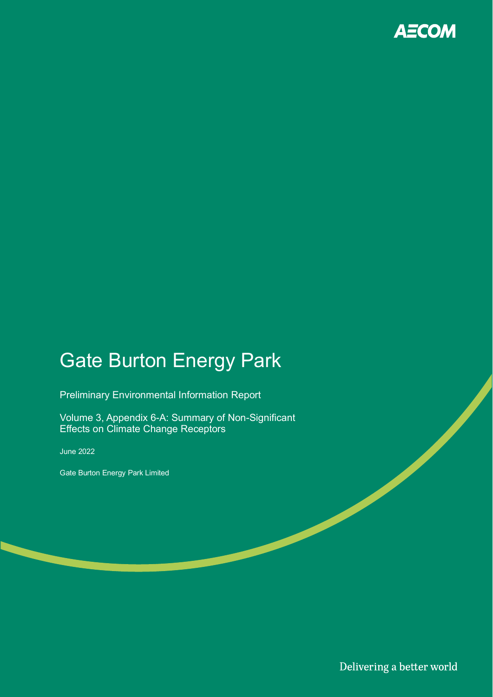

## Gate Burton Energy Park

Preliminary Environmental Information Report

Volume 3, Appendix 6-A: Summary of Non-Significant Effects on Climate Change Receptors

June 2022

Gate Burton Energy Park Limited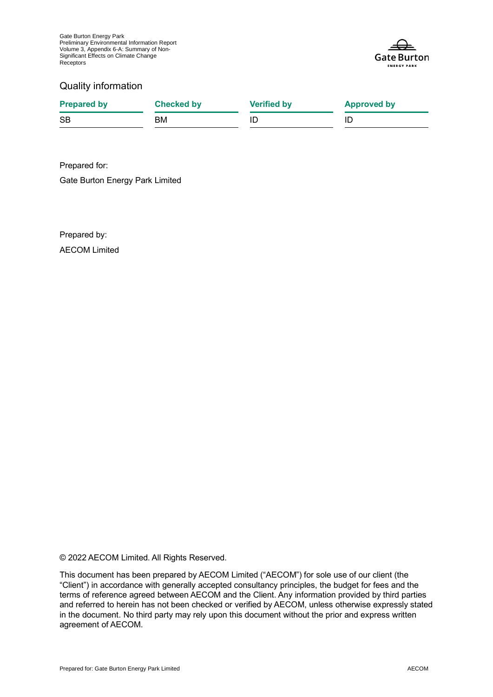

#### Quality information

| <b>Prepared by</b> | <b>Checked by</b> | <b>Verified by</b> | <b>Approved by</b> |
|--------------------|-------------------|--------------------|--------------------|
| <b>SB</b>          | BМ                |                    |                    |

Prepared for: Gate Burton Energy Park Limited

Prepared by: AECOM Limited

© 2022 AECOM Limited. All Rights Reserved.

This document has been prepared by AECOM Limited ("AECOM") for sole use of our client (the "Client") in accordance with generally accepted consultancy principles, the budget for fees and the terms of reference agreed between AECOM and the Client. Any information provided by third parties and referred to herein has not been checked or verified by AECOM, unless otherwise expressly stated in the document. No third party may rely upon this document without the prior and express written agreement of AECOM.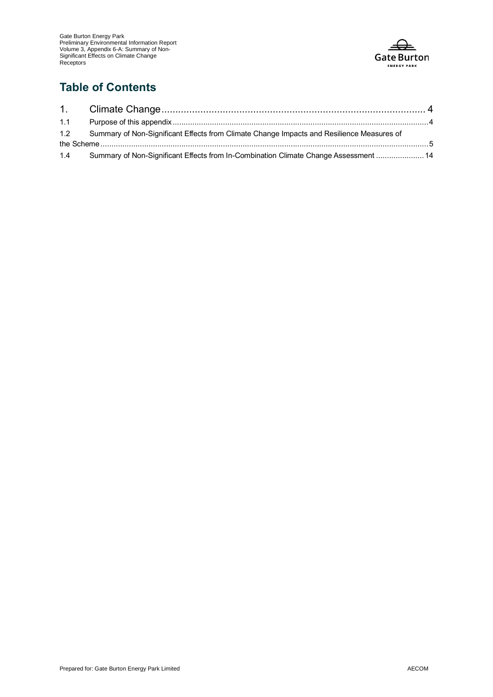

### **Table of Contents**

| 1.2 Summary of Non-Significant Effects from Climate Change Impacts and Resilience Measures of |  |
|-----------------------------------------------------------------------------------------------|--|
|                                                                                               |  |
| 1.4 Summary of Non-Significant Effects from In-Combination Climate Change Assessment  14      |  |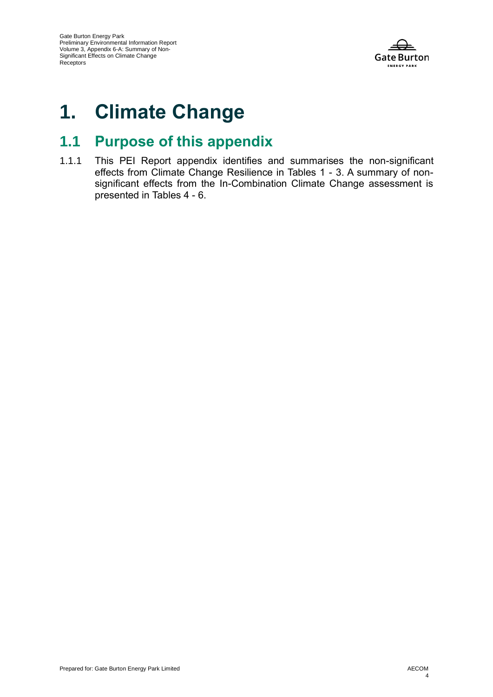

# **1. Climate Change**

## **1.1 Purpose of this appendix**

1.1.1 This PEI Report appendix identifies and summarises the non-significant effects from Climate Change Resilience in Tables 1 - 3. A summary of nonsignificant effects from the In-Combination Climate Change assessment is presented in Tables 4 - 6.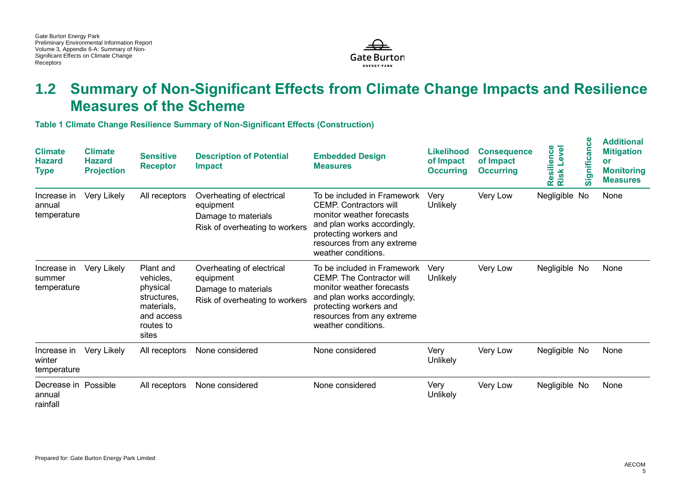

## **1.2 Summary of Non-Significant Effects from Climate Change Impacts and Resilience Measures of the Scheme**

**Table 1 Climate Change Resilience Summary of Non-Significant Effects (Construction)**

| <b>Climate</b><br><b>Hazard</b><br><b>Type</b> | <b>Climate</b><br><b>Hazard</b><br><b>Projection</b> | <b>Sensitive</b><br><b>Receptor</b>                                                                 | <b>Description of Potential</b><br><b>Impact</b>                                                | <b>Embedded Design</b><br><b>Measures</b>                                                                                                                                                                  | <b>Likelihood</b><br>of Impact<br><b>Occurring</b> | <b>Consequence</b><br>of Impact<br><b>Occurring</b> | Level<br>Resilience<br>Risk l | ၓ<br>Significan | <b>Additional</b><br><b>Mitigation</b><br>or<br><b>Monitoring</b><br><b>Measures</b> |
|------------------------------------------------|------------------------------------------------------|-----------------------------------------------------------------------------------------------------|-------------------------------------------------------------------------------------------------|------------------------------------------------------------------------------------------------------------------------------------------------------------------------------------------------------------|----------------------------------------------------|-----------------------------------------------------|-------------------------------|-----------------|--------------------------------------------------------------------------------------|
| Increase in<br>annual<br>temperature           | Very Likely                                          | All receptors                                                                                       | Overheating of electrical<br>equipment<br>Damage to materials<br>Risk of overheating to workers | To be included in Framework<br><b>CEMP.</b> Contractors will<br>monitor weather forecasts<br>and plan works accordingly,<br>protecting workers and<br>resources from any extreme<br>weather conditions.    | Very<br>Unlikely                                   | Very Low                                            | Negligible No                 |                 | None                                                                                 |
| Increase in<br>summer<br>temperature           | Very Likely                                          | Plant and<br>vehicles,<br>physical<br>structures.<br>materials.<br>and access<br>routes to<br>sites | Overheating of electrical<br>equipment<br>Damage to materials<br>Risk of overheating to workers | To be included in Framework<br><b>CEMP.</b> The Contractor will<br>monitor weather forecasts<br>and plan works accordingly,<br>protecting workers and<br>resources from any extreme<br>weather conditions. | Very<br>Unlikely                                   | Very Low                                            | Negligible No                 |                 | None                                                                                 |
| Increase in<br>winter<br>temperature           | Very Likely                                          | All receptors                                                                                       | None considered                                                                                 | None considered                                                                                                                                                                                            | Very<br>Unlikely                                   | Very Low                                            | Negligible No                 |                 | None                                                                                 |
| Decrease in Possible<br>annual<br>rainfall     |                                                      | All receptors                                                                                       | None considered                                                                                 | None considered                                                                                                                                                                                            | Very<br>Unlikely                                   | Very Low                                            | Negligible No                 |                 | None                                                                                 |

**Additional**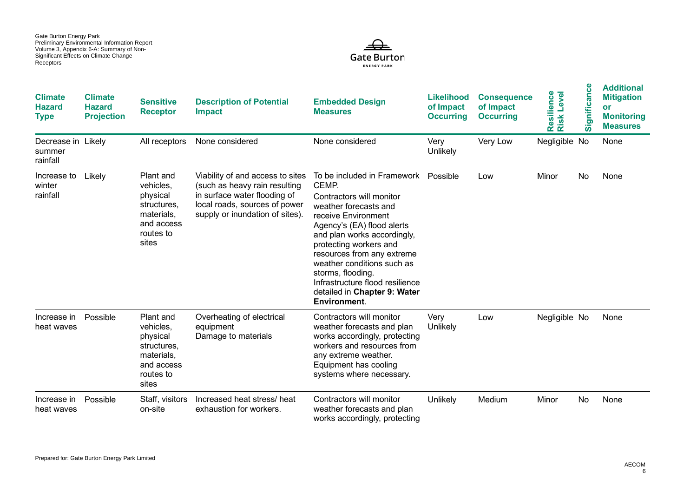

| <b>Climate</b><br><b>Hazard</b><br><b>Type</b> | <b>Climate</b><br><b>Hazard</b><br><b>Projection</b> | <b>Sensitive</b><br><b>Receptor</b>                                                                 | <b>Description of Potential</b><br><b>Impact</b>                                                                                                                      | <b>Embedded Design</b><br><b>Measures</b>                                                                                                                                                                                                                                                                                                                                   | <b>Likelihood</b><br>of Impact<br><b>Occurring</b> | <b>Consequence</b><br>of Impact<br><b>Occurring</b> | Resilience<br>Level<br><b>Risk</b> | Significance | <b>Additional</b><br><b>Mitigation</b><br>or<br><b>Monitoring</b><br><b>Measures</b> |
|------------------------------------------------|------------------------------------------------------|-----------------------------------------------------------------------------------------------------|-----------------------------------------------------------------------------------------------------------------------------------------------------------------------|-----------------------------------------------------------------------------------------------------------------------------------------------------------------------------------------------------------------------------------------------------------------------------------------------------------------------------------------------------------------------------|----------------------------------------------------|-----------------------------------------------------|------------------------------------|--------------|--------------------------------------------------------------------------------------|
| Decrease in Likely<br>summer<br>rainfall       |                                                      | All receptors                                                                                       | None considered                                                                                                                                                       | None considered                                                                                                                                                                                                                                                                                                                                                             | Very<br>Unlikely                                   | Very Low                                            | Negligible No                      |              | None                                                                                 |
| Increase to<br>winter<br>rainfall              | Likely                                               | Plant and<br>vehicles,<br>physical<br>structures,<br>materials,<br>and access<br>routes to<br>sites | Viability of and access to sites<br>(such as heavy rain resulting<br>in surface water flooding of<br>local roads, sources of power<br>supply or inundation of sites). | To be included in Framework<br>CEMP.<br>Contractors will monitor<br>weather forecasts and<br>receive Environment<br>Agency's (EA) flood alerts<br>and plan works accordingly,<br>protecting workers and<br>resources from any extreme<br>weather conditions such as<br>storms, flooding.<br>Infrastructure flood resilience<br>detailed in Chapter 9: Water<br>Environment. | Possible                                           | Low                                                 | Minor                              | No           | None                                                                                 |
| Increase in<br>heat waves                      | Possible                                             | Plant and<br>vehicles,<br>physical<br>structures,<br>materials,<br>and access<br>routes to<br>sites | Overheating of electrical<br>equipment<br>Damage to materials                                                                                                         | Contractors will monitor<br>weather forecasts and plan<br>works accordingly, protecting<br>workers and resources from<br>any extreme weather.<br>Equipment has cooling<br>systems where necessary.                                                                                                                                                                          | Very<br>Unlikely                                   | Low                                                 | Negligible No                      |              | None                                                                                 |
| Increase in<br>heat waves                      | Possible                                             | Staff, visitors<br>on-site                                                                          | Increased heat stress/ heat<br>exhaustion for workers.                                                                                                                | Contractors will monitor<br>weather forecasts and plan<br>works accordingly, protecting                                                                                                                                                                                                                                                                                     | Unlikely                                           | Medium                                              | Minor                              | No           | None                                                                                 |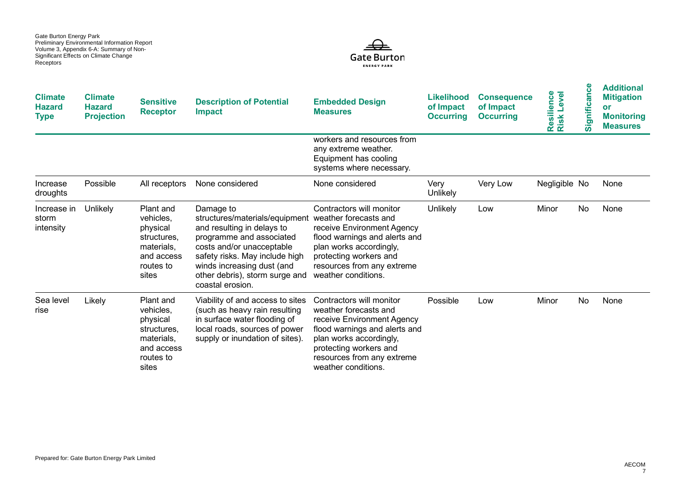

| <b>Climate</b><br><b>Hazard</b><br><b>Type</b> | <b>Climate</b><br><b>Hazard</b><br><b>Projection</b> | <b>Sensitive</b><br><b>Receptor</b>                                                                 | <b>Description of Potential</b><br><b>Impact</b>                                                                                                                                                                                                         | <b>Embedded Design</b><br><b>Measures</b>                                                                                                                                                                                  | <b>Likelihood</b><br>of Impact<br><b>Occurring</b> | <b>Consequence</b><br>of Impact<br><b>Occurring</b> | Resilience<br>Risk Level | ပ္ပ<br>Significan | <b>Additional</b><br><b>Mitigation</b><br>or<br><b>Monitoring</b><br><b>Measures</b> |
|------------------------------------------------|------------------------------------------------------|-----------------------------------------------------------------------------------------------------|----------------------------------------------------------------------------------------------------------------------------------------------------------------------------------------------------------------------------------------------------------|----------------------------------------------------------------------------------------------------------------------------------------------------------------------------------------------------------------------------|----------------------------------------------------|-----------------------------------------------------|--------------------------|-------------------|--------------------------------------------------------------------------------------|
|                                                |                                                      |                                                                                                     |                                                                                                                                                                                                                                                          | workers and resources from<br>any extreme weather.<br>Equipment has cooling<br>systems where necessary.                                                                                                                    |                                                    |                                                     |                          |                   |                                                                                      |
| Increase<br>droughts                           | Possible                                             | All receptors                                                                                       | None considered                                                                                                                                                                                                                                          | None considered                                                                                                                                                                                                            | Very<br>Unlikely                                   | Very Low                                            | Negligible No            |                   | None                                                                                 |
| Increase in<br>storm<br>intensity              | Unlikely                                             | Plant and<br>vehicles,<br>physical<br>structures.<br>materials,<br>and access<br>routes to<br>sites | Damage to<br>structures/materials/equipment<br>and resulting in delays to<br>programme and associated<br>costs and/or unacceptable<br>safety risks. May include high<br>winds increasing dust (and<br>other debris), storm surge and<br>coastal erosion. | Contractors will monitor<br>weather forecasts and<br>receive Environment Agency<br>flood warnings and alerts and<br>plan works accordingly,<br>protecting workers and<br>resources from any extreme<br>weather conditions. | Unlikely                                           | Low                                                 | Minor                    | No                | None                                                                                 |
| Sea level<br>rise                              | Likely                                               | Plant and<br>vehicles,<br>physical<br>structures,<br>materials.<br>and access<br>routes to<br>sites | Viability of and access to sites<br>(such as heavy rain resulting<br>in surface water flooding of<br>local roads, sources of power<br>supply or inundation of sites).                                                                                    | Contractors will monitor<br>weather forecasts and<br>receive Environment Agency<br>flood warnings and alerts and<br>plan works accordingly,<br>protecting workers and<br>resources from any extreme<br>weather conditions. | Possible                                           | Low                                                 | Minor                    | No                | None                                                                                 |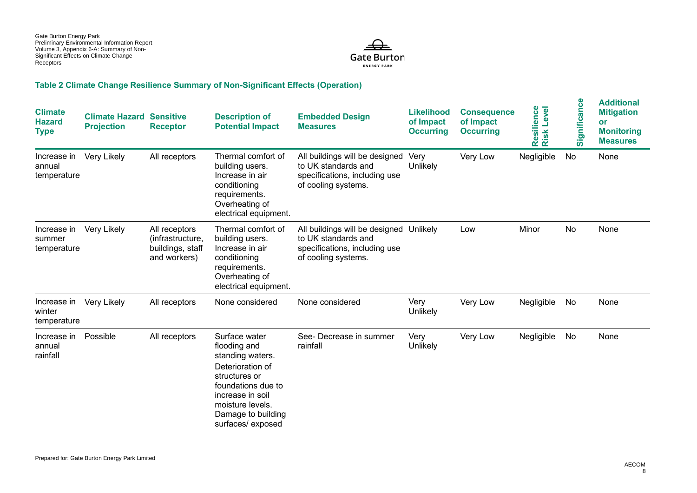

#### **Table 2 Climate Change Resilience Summary of Non-Significant Effects (Operation)**

| <b>Climate</b><br><b>Hazard</b><br><b>Type</b> | <b>Climate Hazard</b><br><b>Projection</b> | <b>Sensitive</b><br><b>Receptor</b>                                   | <b>Description of</b><br><b>Potential Impact</b>                                                                                                                                               | <b>Embedded Design</b><br><b>Measures</b>                                                                              | <b>Likelihood</b><br>of Impact<br><b>Occurring</b> | <b>Consequence</b><br>of Impact<br><b>Occurring</b> | Resilience<br>Risk Level | Significance | <b>Additional</b><br><b>Mitigation</b><br>or<br><b>Monitoring</b><br><b>Measures</b> |
|------------------------------------------------|--------------------------------------------|-----------------------------------------------------------------------|------------------------------------------------------------------------------------------------------------------------------------------------------------------------------------------------|------------------------------------------------------------------------------------------------------------------------|----------------------------------------------------|-----------------------------------------------------|--------------------------|--------------|--------------------------------------------------------------------------------------|
| Increase in<br>annual<br>temperature           | Very Likely                                | All receptors                                                         | Thermal comfort of<br>building users.<br>Increase in air<br>conditioning<br>requirements.<br>Overheating of<br>electrical equipment.                                                           | All buildings will be designed<br>to UK standards and<br>specifications, including use<br>of cooling systems.          | Very<br>Unlikely                                   | Very Low                                            | Negligible               | No           | None                                                                                 |
| Increase in<br>summer<br>temperature           | Very Likely                                | All receptors<br>(infrastructure,<br>buildings, staff<br>and workers) | Thermal comfort of<br>building users.<br>Increase in air<br>conditioning<br>requirements.<br>Overheating of<br>electrical equipment.                                                           | All buildings will be designed Unlikely<br>to UK standards and<br>specifications, including use<br>of cooling systems. |                                                    | Low                                                 | Minor                    | No           | None                                                                                 |
| Increase in<br>winter<br>temperature           | Very Likely                                | All receptors                                                         | None considered                                                                                                                                                                                | None considered                                                                                                        | Very<br>Unlikely                                   | Very Low                                            | Negligible               | No           | None                                                                                 |
| Increase in<br>annual<br>rainfall              | Possible                                   | All receptors                                                         | Surface water<br>flooding and<br>standing waters.<br>Deterioration of<br>structures or<br>foundations due to<br>increase in soil<br>moisture levels.<br>Damage to building<br>surfaces/exposed | See- Decrease in summer<br>rainfall                                                                                    | Very<br>Unlikely                                   | Very Low                                            | Negligible               | No           | None                                                                                 |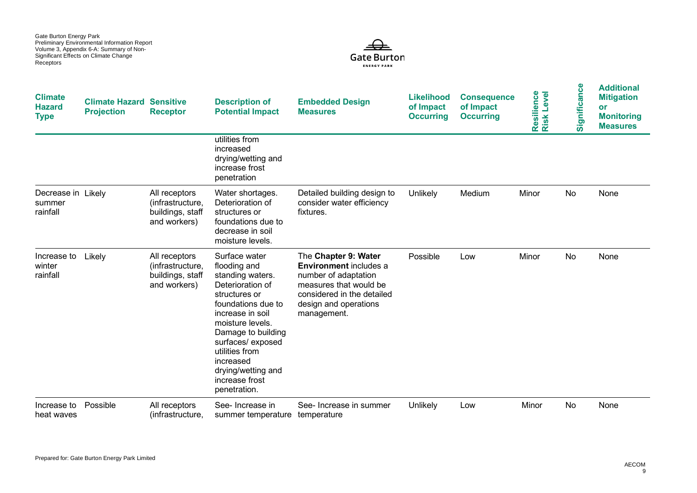

| <b>Climate</b><br><b>Hazard</b><br><b>Type</b> | <b>Climate Hazard Sensitive</b><br><b>Projection</b> | <b>Receptor</b>                                                       | <b>Description of</b><br><b>Potential Impact</b>                                                                                                                                                                                                                                      | <b>Embedded Design</b><br><b>Measures</b>                                                                                                                                     | <b>Likelihood</b><br>of Impact<br><b>Occurring</b> | <b>Consequence</b><br>of Impact<br><b>Occurring</b> | Resilience<br>Risk Level | Significance | <b>Additional</b><br><b>Mitigation</b><br>or<br><b>Monitoring</b><br><b>Measures</b> |
|------------------------------------------------|------------------------------------------------------|-----------------------------------------------------------------------|---------------------------------------------------------------------------------------------------------------------------------------------------------------------------------------------------------------------------------------------------------------------------------------|-------------------------------------------------------------------------------------------------------------------------------------------------------------------------------|----------------------------------------------------|-----------------------------------------------------|--------------------------|--------------|--------------------------------------------------------------------------------------|
|                                                |                                                      |                                                                       | utilities from<br>increased<br>drying/wetting and<br>increase frost<br>penetration                                                                                                                                                                                                    |                                                                                                                                                                               |                                                    |                                                     |                          |              |                                                                                      |
| Decrease in Likely<br>summer<br>rainfall       |                                                      | All receptors<br>(infrastructure,<br>buildings, staff<br>and workers) | Water shortages.<br>Deterioration of<br>structures or<br>foundations due to<br>decrease in soil<br>moisture levels.                                                                                                                                                                   | Detailed building design to<br>consider water efficiency<br>fixtures.                                                                                                         | <b>Unlikely</b>                                    | Medium                                              | Minor                    | No           | None                                                                                 |
| Increase to<br>winter<br>rainfall              | Likely                                               | All receptors<br>(infrastructure,<br>buildings, staff<br>and workers) | Surface water<br>flooding and<br>standing waters.<br>Deterioration of<br>structures or<br>foundations due to<br>increase in soil<br>moisture levels.<br>Damage to building<br>surfaces/exposed<br>utilities from<br>increased<br>drying/wetting and<br>increase frost<br>penetration. | The Chapter 9: Water<br><b>Environment</b> includes a<br>number of adaptation<br>measures that would be<br>considered in the detailed<br>design and operations<br>management. | Possible                                           | Low                                                 | Minor                    | No           | None                                                                                 |
| Increase to<br>heat waves                      | Possible                                             | All receptors<br>(infrastructure.                                     | See-Increase in<br>summer temperature                                                                                                                                                                                                                                                 | See- Increase in summer<br>temperature                                                                                                                                        | Unlikely                                           | Low                                                 | Minor                    | No.          | None                                                                                 |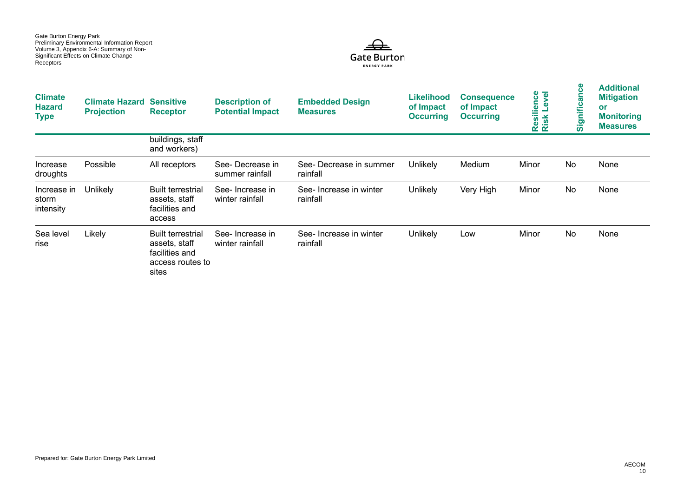

| <b>Climate</b><br><b>Hazard</b><br><b>Type</b> | <b>Climate Hazard Sensitive</b><br><b>Projection</b> | <b>Receptor</b>                                                                          | <b>Description of</b><br><b>Potential Impact</b> | <b>Embedded Design</b><br><b>Measures</b> | <b>Likelihood</b><br>of Impact<br><b>Occurring</b> | <b>Consequence</b><br>of Impact<br><b>Occurring</b> | evel<br><b>Resilience</b><br>Risk Level | ဗိ<br>an<br>Signific | <b>Additional</b><br><b>Mitigation</b><br>or<br><b>Monitoring</b><br><b>Measures</b> |
|------------------------------------------------|------------------------------------------------------|------------------------------------------------------------------------------------------|--------------------------------------------------|-------------------------------------------|----------------------------------------------------|-----------------------------------------------------|-----------------------------------------|----------------------|--------------------------------------------------------------------------------------|
|                                                |                                                      | buildings, staff<br>and workers)                                                         |                                                  |                                           |                                                    |                                                     |                                         |                      |                                                                                      |
| Increase<br>droughts                           | Possible                                             | All receptors                                                                            | See-Decrease in<br>summer rainfall               | See- Decrease in summer<br>rainfall       | Unlikely                                           | Medium                                              | Minor                                   | No                   | None                                                                                 |
| Increase in<br>storm<br>intensity              | <b>Unlikely</b>                                      | <b>Built terrestrial</b><br>assets, staff<br>facilities and<br>access                    | See-Increase in<br>winter rainfall               | See-Increase in winter<br>rainfall        | Unlikely                                           | Very High                                           | Minor                                   | No                   | None                                                                                 |
| Sea level<br>rise                              | Likely                                               | <b>Built terrestrial</b><br>assets, staff<br>facilities and<br>access routes to<br>sites | See-Increase in<br>winter rainfall               | See- Increase in winter<br>rainfall       | Unlikely                                           | Low                                                 | Minor                                   | No                   | None                                                                                 |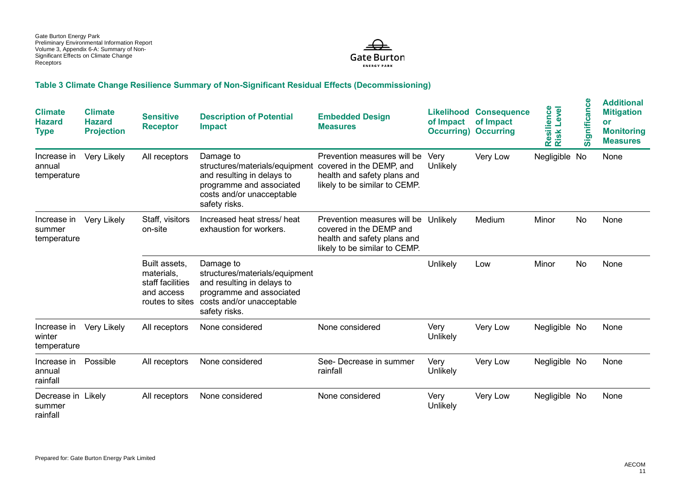

#### **Table 3 Climate Change Resilience Summary of Non-Significant Residual Effects (Decommissioning)**

| <b>Climate</b><br><b>Hazard</b><br><b>Type</b> | <b>Climate</b><br><b>Hazard</b><br><b>Projection</b> | <b>Sensitive</b><br><b>Receptor</b>                                              | <b>Description of Potential</b><br><b>Impact</b>                                                                                                    | <b>Embedded Design</b><br><b>Measures</b>                                                                               | of Impact<br><b>Occurring</b> ) | <b>Likelihood Consequence</b><br>of Impact<br><b>Occurring</b> | Resilience<br>Risk Level<br>Level | ဗီ<br>Significan | <b>Additional</b><br><b>Mitigation</b><br>or<br><b>Monitoring</b><br><b>Measures</b> |
|------------------------------------------------|------------------------------------------------------|----------------------------------------------------------------------------------|-----------------------------------------------------------------------------------------------------------------------------------------------------|-------------------------------------------------------------------------------------------------------------------------|---------------------------------|----------------------------------------------------------------|-----------------------------------|------------------|--------------------------------------------------------------------------------------|
| Increase in<br>annual<br>temperature           | Very Likely                                          | All receptors                                                                    | Damage to<br>structures/materials/equipment<br>and resulting in delays to<br>programme and associated<br>costs and/or unacceptable<br>safety risks. | Prevention measures will be<br>covered in the DEMP, and<br>health and safety plans and<br>likely to be similar to CEMP. | Very<br>Unlikely                | Very Low                                                       | Negligible No                     |                  | None                                                                                 |
| Increase in<br>summer<br>temperature           | Very Likely                                          | Staff, visitors<br>on-site                                                       | Increased heat stress/heat<br>exhaustion for workers.                                                                                               | Prevention measures will be<br>covered in the DEMP and<br>health and safety plans and<br>likely to be similar to CEMP.  | Unlikely                        | Medium                                                         | Minor                             | No               | None                                                                                 |
|                                                |                                                      | Built assets.<br>materials,<br>staff facilities<br>and access<br>routes to sites | Damage to<br>structures/materials/equipment<br>and resulting in delays to<br>programme and associated<br>costs and/or unacceptable<br>safety risks. |                                                                                                                         | Unlikely                        | Low                                                            | Minor                             | No               | None                                                                                 |
| Increase in<br>winter<br>temperature           | Very Likely                                          | All receptors                                                                    | None considered                                                                                                                                     | None considered                                                                                                         | Very<br>Unlikely                | Very Low                                                       | Negligible No                     |                  | None                                                                                 |
| Increase in<br>annual<br>rainfall              | Possible                                             | All receptors                                                                    | None considered                                                                                                                                     | See- Decrease in summer<br>rainfall                                                                                     | Very<br>Unlikely                | Very Low                                                       | Negligible No                     |                  | None                                                                                 |
| Decrease in Likely<br>summer<br>rainfall       |                                                      | All receptors                                                                    | None considered                                                                                                                                     | None considered                                                                                                         | Very<br>Unlikely                | Very Low                                                       | Negligible No                     |                  | None                                                                                 |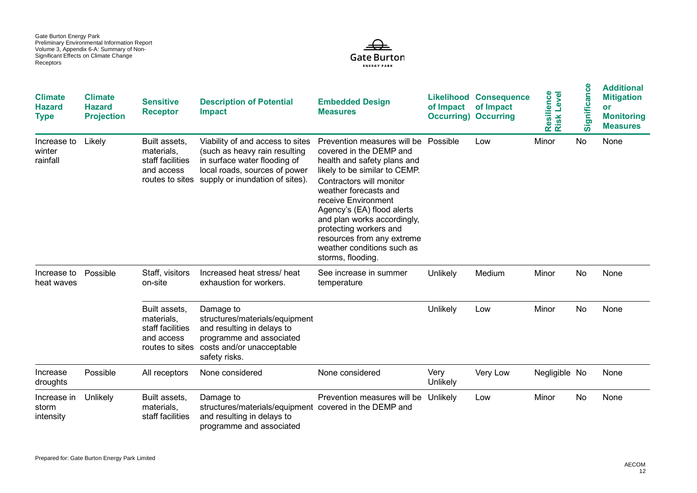

| <b>Climate</b><br><b>Hazard</b><br><b>Type</b> | <b>Climate</b><br><b>Hazard</b><br><b>Projection</b> | <b>Sensitive</b><br><b>Receptor</b>                           | <b>Description of Potential</b><br><b>Impact</b>                                                                                                                                      | <b>Embedded Design</b><br><b>Measures</b>                                                                                                                                                                                                                                                                                                                                  | of Impact<br><b>Occurring) Occurring</b> | <b>Likelihood Consequence</b><br>of Impact | Resilience<br>Risk Level | ပ္ပ<br>gnifica<br>ົທົ | <b>Additional</b><br><b>Mitigation</b><br>or<br><b>Monitoring</b><br><b>Measures</b> |
|------------------------------------------------|------------------------------------------------------|---------------------------------------------------------------|---------------------------------------------------------------------------------------------------------------------------------------------------------------------------------------|----------------------------------------------------------------------------------------------------------------------------------------------------------------------------------------------------------------------------------------------------------------------------------------------------------------------------------------------------------------------------|------------------------------------------|--------------------------------------------|--------------------------|-----------------------|--------------------------------------------------------------------------------------|
| Increase to<br>winter<br>rainfall              | Likely                                               | Built assets.<br>materials.<br>staff facilities<br>and access | Viability of and access to sites<br>(such as heavy rain resulting<br>in surface water flooding of<br>local roads, sources of power<br>routes to sites supply or inundation of sites). | Prevention measures will be<br>covered in the DEMP and<br>health and safety plans and<br>likely to be similar to CEMP.<br>Contractors will monitor<br>weather forecasts and<br>receive Environment<br>Agency's (EA) flood alerts<br>and plan works accordingly,<br>protecting workers and<br>resources from any extreme<br>weather conditions such as<br>storms, flooding. | Possible                                 | Low                                        | Minor                    | No                    | None                                                                                 |
| Increase to<br>heat waves                      | Possible                                             | Staff, visitors<br>on-site                                    | Increased heat stress/heat<br>exhaustion for workers.                                                                                                                                 | See increase in summer<br>temperature                                                                                                                                                                                                                                                                                                                                      | Unlikely                                 | Medium                                     | Minor                    | No                    | None                                                                                 |
|                                                |                                                      | Built assets,<br>materials,<br>staff facilities<br>and access | Damage to<br>structures/materials/equipment<br>and resulting in delays to<br>programme and associated<br>routes to sites costs and/or unacceptable<br>safety risks.                   |                                                                                                                                                                                                                                                                                                                                                                            | Unlikely                                 | Low                                        | Minor                    | No                    | None                                                                                 |
| Increase<br>droughts                           | Possible                                             | All receptors                                                 | None considered                                                                                                                                                                       | None considered                                                                                                                                                                                                                                                                                                                                                            | Very<br>Unlikely                         | Very Low                                   | Negligible No            |                       | None                                                                                 |
| Increase in<br>storm<br>intensity              | Unlikely                                             | Built assets,<br>materials.<br>staff facilities               | Damage to<br>structures/materials/equipment covered in the DEMP and<br>and resulting in delays to<br>programme and associated                                                         | Prevention measures will be                                                                                                                                                                                                                                                                                                                                                | Unlikely                                 | Low                                        | Minor                    | No                    | None                                                                                 |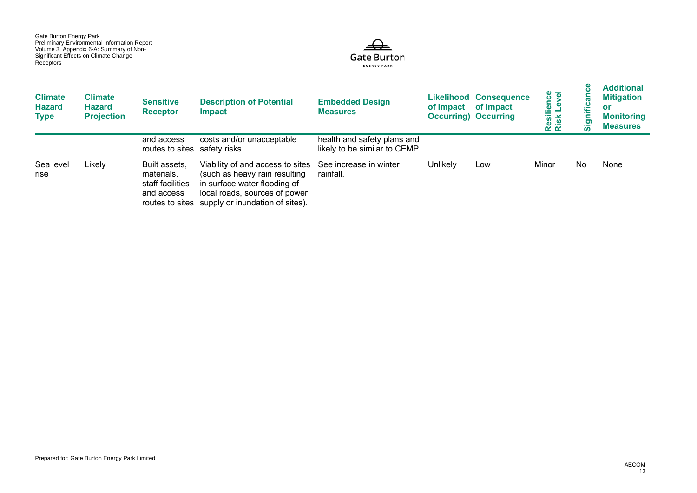

| <b>Climate</b><br><b>Hazard</b><br>Type | <b>Climate</b><br>Hazard<br><b>Projection</b> | <b>Sensitive</b><br><b>Receptor</b>                                              | <b>Description of Potential</b><br><b>Impact</b>                                                                                                                      | <b>Embedded Design</b><br><b>Measures</b>                    | of Impact of Impact | <b>Likelihood Consequence</b><br><b>Occurring</b> ) Occurring | ience<br>Level<br>Resili<br>Risk l | ഗ  | <b>Additional</b><br><b>Mitigation</b><br>or<br><b>Monitoring</b><br><b>Measures</b> |
|-----------------------------------------|-----------------------------------------------|----------------------------------------------------------------------------------|-----------------------------------------------------------------------------------------------------------------------------------------------------------------------|--------------------------------------------------------------|---------------------|---------------------------------------------------------------|------------------------------------|----|--------------------------------------------------------------------------------------|
|                                         |                                               | and access<br>routes to sites safety risks.                                      | costs and/or unacceptable                                                                                                                                             | health and safety plans and<br>likely to be similar to CEMP. |                     |                                                               |                                    |    |                                                                                      |
| Sea level<br>rise                       | Likely                                        | Built assets,<br>materials,<br>staff facilities<br>and access<br>routes to sites | Viability of and access to sites<br>(such as heavy rain resulting<br>in surface water flooding of<br>local roads, sources of power<br>supply or inundation of sites). | See increase in winter<br>rainfall.                          | Unlikely            | Low                                                           | Minor                              | No | None                                                                                 |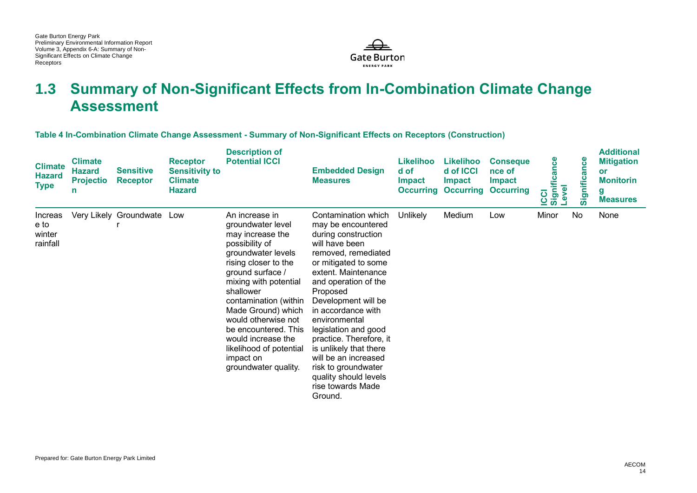

## **1.3 Summary of Non-Significant Effects from In-Combination Climate Change Assessment**

**Table 4 In-Combination Climate Change Assessment - Summary of Non-Significant Effects on Receptors (Construction)** 

| <b>Climate</b><br><b>Hazard</b><br><b>Type</b> | <b>Climate</b><br><b>Hazard</b><br><b>Projectio</b> | <b>Sensitive</b><br><b>Receptor</b> | <b>Receptor</b><br><b>Sensitivity to</b><br><b>Climate</b><br><b>Hazard</b> | <b>Description of</b><br><b>Potential ICCI</b>                                                                                                                                                                                                                                                                                                                        | <b>Embedded Design</b><br><b>Measures</b>                                                                                                                                                                                                                                                                                                                                                                                                       | <b>Likelihoo</b><br>d of<br><b>Impact</b> | <b>Likelihoo</b><br>d of ICCI<br><b>Impact</b><br><b>Occurring Occurring</b> | <b>Conseque</b><br>nce of<br><b>Impact</b><br><b>Occurring</b> | Significance<br><b>PVel</b><br><b>CCI</b> | Significance | <b>Additional</b><br><b>Mitigation</b><br>or<br><b>Monitorin</b><br>g<br><b>Measures</b> |
|------------------------------------------------|-----------------------------------------------------|-------------------------------------|-----------------------------------------------------------------------------|-----------------------------------------------------------------------------------------------------------------------------------------------------------------------------------------------------------------------------------------------------------------------------------------------------------------------------------------------------------------------|-------------------------------------------------------------------------------------------------------------------------------------------------------------------------------------------------------------------------------------------------------------------------------------------------------------------------------------------------------------------------------------------------------------------------------------------------|-------------------------------------------|------------------------------------------------------------------------------|----------------------------------------------------------------|-------------------------------------------|--------------|------------------------------------------------------------------------------------------|
| Increas<br>e to<br>winter<br>rainfall          |                                                     | Very Likely Groundwate              | Low                                                                         | An increase in<br>groundwater level<br>may increase the<br>possibility of<br>groundwater levels<br>rising closer to the<br>ground surface /<br>mixing with potential<br>shallower<br>contamination (within<br>Made Ground) which<br>would otherwise not<br>be encountered. This<br>would increase the<br>likelihood of potential<br>impact on<br>groundwater quality. | Contamination which<br>may be encountered<br>during construction<br>will have been<br>removed, remediated<br>or mitigated to some<br>extent. Maintenance<br>and operation of the<br>Proposed<br>Development will be<br>in accordance with<br>environmental<br>legislation and good<br>practice. Therefore, it<br>is unlikely that there<br>will be an increased<br>risk to groundwater<br>quality should levels<br>rise towards Made<br>Ground. | <b>Unlikely</b>                           | Medium                                                                       | Low                                                            | Minor                                     | No           | None                                                                                     |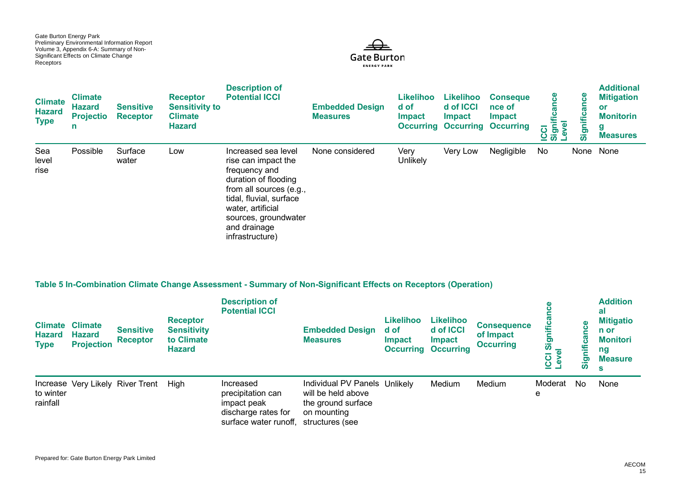

| <b>Climate</b><br><b>Hazard</b><br><b>Type</b> | <b>Climate</b><br><b>Hazard</b><br><b>Projectio</b><br>n | <b>Sensitive</b><br><b>Receptor</b> | <b>Receptor</b><br><b>Sensitivity to</b><br><b>Climate</b><br><b>Hazard</b> | <b>Description of</b><br><b>Potential ICCI</b>                                                                                                                                                                            | <b>Embedded Design</b><br><b>Measures</b> | Likelihoo<br>d of<br><b>Impact</b> | <b>Likelihoo</b><br>d of ICCI<br><b>Impact</b><br><b>Occurring Occurring</b> | <b>Conseque</b><br>nce of<br><b>Impact</b><br><b>Occurring</b> | ပ္ပ<br>:Cl<br>ignificar<br>$\overline{g}$<br><u>ပ် ကိ</u> | ၓ<br>ن<br>E<br>Signi | <b>Additional</b><br><b>Mitigation</b><br>or<br><b>Monitorin</b><br>g<br><b>Measures</b> |
|------------------------------------------------|----------------------------------------------------------|-------------------------------------|-----------------------------------------------------------------------------|---------------------------------------------------------------------------------------------------------------------------------------------------------------------------------------------------------------------------|-------------------------------------------|------------------------------------|------------------------------------------------------------------------------|----------------------------------------------------------------|-----------------------------------------------------------|----------------------|------------------------------------------------------------------------------------------|
| Sea<br>level<br>rise                           | Possible                                                 | Surface<br>water                    | Low                                                                         | Increased sea level<br>rise can impact the<br>frequency and<br>duration of flooding<br>from all sources (e.g.,<br>tidal, fluvial, surface<br>water, artificial<br>sources, groundwater<br>and drainage<br>infrastructure) | None considered                           | Very<br><b>Unlikely</b>            | Very Low                                                                     | Negligible                                                     | No                                                        |                      | None None                                                                                |

#### **Table 5 In-Combination Climate Change Assessment - Summary of Non-Significant Effects on Receptors (Operation)**

| <b>Climate</b><br><b>Hazard</b><br><b>Type</b> | <b>Climate</b><br><b>Hazard</b><br><b>Projection</b> | <b>Sensitive</b><br><b>Receptor</b> | <b>Receptor</b><br><b>Sensitivity</b><br>to Climate<br><b>Hazard</b> | <b>Description of</b><br><b>Potential ICCI</b>                                                | <b>Embedded Design</b><br><b>Measures</b>                                                                   | Likelihoo<br>d of<br>Impact<br><b>Occurring</b> | <b>Likelihoo</b><br>d of ICCI<br>Impact<br><b>Occurring</b> | <b>Consequence</b><br>of Impact<br><b>Occurring</b> | Sigi<br><b>USL</b> | $\overline{5}$ | <b>Addition</b><br>al<br><b>Mitigatio</b><br>n or<br><b>Monitori</b><br>ng<br><b>Measure</b><br>s |
|------------------------------------------------|------------------------------------------------------|-------------------------------------|----------------------------------------------------------------------|-----------------------------------------------------------------------------------------------|-------------------------------------------------------------------------------------------------------------|-------------------------------------------------|-------------------------------------------------------------|-----------------------------------------------------|--------------------|----------------|---------------------------------------------------------------------------------------------------|
| to winter<br>rainfall                          |                                                      | Increase Very Likely River Trent    | Hiah                                                                 | Increased<br>precipitation can<br>impact peak<br>discharge rates for<br>surface water runoff, | Individual PV Panels Unlikely<br>will be held above<br>the ground surface<br>on mounting<br>structures (see |                                                 | Medium                                                      | Medium                                              | Moderat<br>е       | No             | None                                                                                              |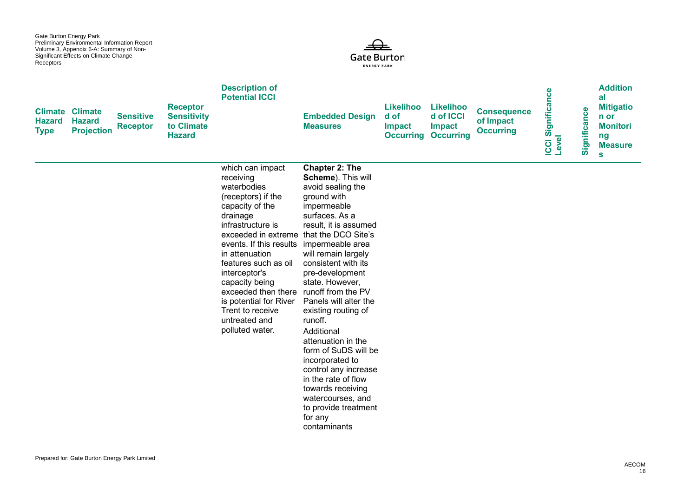

| <b>Type</b> | <b>Hazard</b> | <b>Climate Climate</b><br><b>Hazard</b><br><b>Projection</b> | <b>Sensitive</b><br><b>Receptor</b> | <b>Receptor</b><br><b>Sensitivity</b><br>to Climate<br><b>Hazard</b> | <b>Description of</b><br><b>Potential ICCI</b>                                                                                                                                                                                                                                                                                                                                                                         | <b>Embedded Design</b><br><b>Measures</b>                                                                                                                                                                                                                                                                                                                                                                                                                                                                           | <b>Likelihoo</b><br>d of<br><b>Impact</b><br><b>Occurring Occurring</b> | <b>Likelihoo</b><br>d of ICCI<br><b>Impact</b> | <b>Consequence</b><br>of Impact<br><b>Occurring</b> | Significance<br>Level<br><b>ICCI</b> | Significance | <b>Addition</b><br>al<br><b>Mitigatio</b><br>n or<br><b>Monitori</b><br>ng<br><b>Measure</b><br>$\mathbf{s}$ |
|-------------|---------------|--------------------------------------------------------------|-------------------------------------|----------------------------------------------------------------------|------------------------------------------------------------------------------------------------------------------------------------------------------------------------------------------------------------------------------------------------------------------------------------------------------------------------------------------------------------------------------------------------------------------------|---------------------------------------------------------------------------------------------------------------------------------------------------------------------------------------------------------------------------------------------------------------------------------------------------------------------------------------------------------------------------------------------------------------------------------------------------------------------------------------------------------------------|-------------------------------------------------------------------------|------------------------------------------------|-----------------------------------------------------|--------------------------------------|--------------|--------------------------------------------------------------------------------------------------------------|
|             |               |                                                              |                                     |                                                                      | which can impact<br>receiving<br>waterbodies<br>(receptors) if the<br>capacity of the<br>drainage<br>infrastructure is<br>exceeded in extreme that the DCO Site's<br>events. If this results impermeable area<br>in attenuation<br>features such as oil<br>interceptor's<br>capacity being<br>exceeded then there runoff from the PV<br>is potential for River<br>Trent to receive<br>untreated and<br>polluted water. | <b>Chapter 2: The</b><br>Scheme). This will<br>avoid sealing the<br>ground with<br>impermeable<br>surfaces. As a<br>result, it is assumed<br>will remain largely<br>consistent with its<br>pre-development<br>state. However,<br>Panels will alter the<br>existing routing of<br>runoff.<br>Additional<br>attenuation in the<br>form of SuDS will be<br>incorporated to<br>control any increase<br>in the rate of flow<br>towards receiving<br>watercourses, and<br>to provide treatment<br>for any<br>contaminants |                                                                         |                                                |                                                     |                                      |              |                                                                                                              |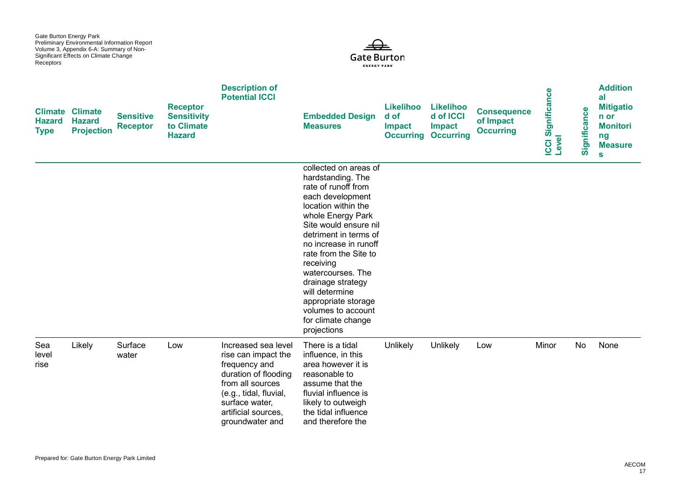

| <b>Hazard</b><br><b>Type</b> | <b>Climate Climate</b><br><b>Hazard</b><br><b>Projection</b> | <b>Sensitive</b><br><b>Receptor</b> | <b>Receptor</b><br><b>Sensitivity</b><br>to Climate<br><b>Hazard</b> | <b>Description of</b><br><b>Potential ICCI</b>                                                                                                                                                | <b>Embedded Design</b><br><b>Measures</b>                                                                                                                                                                                                                                                                                                                                                        | <b>Likelihoo</b><br>d of<br><b>Impact</b><br><b>Occurring</b> | <b>Likelihoo</b><br>d of ICCI<br><b>Impact</b><br><b>Occurring</b> | <b>Consequence</b><br>of Impact<br><b>Occurring</b> | Significance<br>Level<br><b>CCI</b> | Significance | <b>Addition</b><br>al<br><b>Mitigatio</b><br>n or<br><b>Monitori</b><br>ng<br><b>Measure</b><br>$\mathbf{s}$ |
|------------------------------|--------------------------------------------------------------|-------------------------------------|----------------------------------------------------------------------|-----------------------------------------------------------------------------------------------------------------------------------------------------------------------------------------------|--------------------------------------------------------------------------------------------------------------------------------------------------------------------------------------------------------------------------------------------------------------------------------------------------------------------------------------------------------------------------------------------------|---------------------------------------------------------------|--------------------------------------------------------------------|-----------------------------------------------------|-------------------------------------|--------------|--------------------------------------------------------------------------------------------------------------|
|                              |                                                              |                                     |                                                                      |                                                                                                                                                                                               | collected on areas of<br>hardstanding. The<br>rate of runoff from<br>each development<br>location within the<br>whole Energy Park<br>Site would ensure nil<br>detriment in terms of<br>no increase in runoff<br>rate from the Site to<br>receiving<br>watercourses. The<br>drainage strategy<br>will determine<br>appropriate storage<br>volumes to account<br>for climate change<br>projections |                                                               |                                                                    |                                                     |                                     |              |                                                                                                              |
| Sea<br>level<br>rise         | Likely                                                       | Surface<br>water                    | Low                                                                  | Increased sea level<br>rise can impact the<br>frequency and<br>duration of flooding<br>from all sources<br>(e.g., tidal, fluvial,<br>surface water,<br>artificial sources.<br>groundwater and | There is a tidal<br>influence, in this<br>area however it is<br>reasonable to<br>assume that the<br>fluvial influence is<br>likely to outweigh<br>the tidal influence<br>and therefore the                                                                                                                                                                                                       | Unlikely                                                      | Unlikely                                                           | Low                                                 | Minor                               | <b>No</b>    | None                                                                                                         |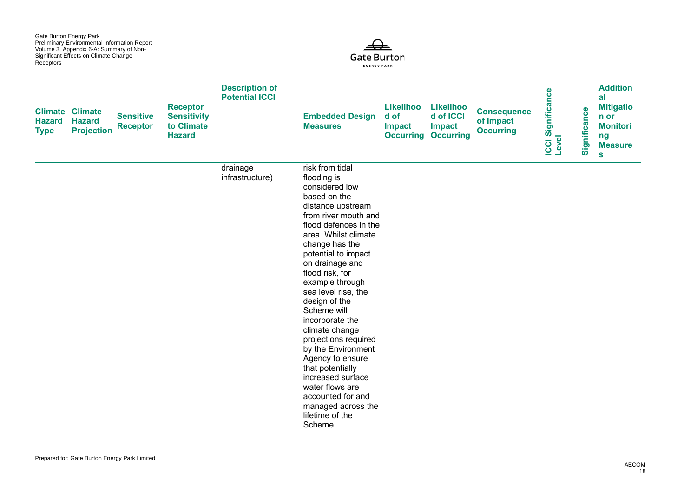

| <b>Hazard</b><br><b>Type</b> | <b>Climate Climate</b><br><b>Hazard</b><br><b>Projection</b> | <b>Sensitive</b><br><b>Receptor</b> | <b>Receptor</b><br><b>Sensitivity</b><br>to Climate<br><b>Hazard</b> | <b>Description of</b><br><b>Potential ICCI</b> | <b>Embedded Design</b><br><b>Measures</b>                                                                                                                                                                                                                                                                                                                                                                                                                                                                                                                           | <b>Likelihoo</b><br>d of<br><b>Impact</b><br><b>Occurring Occurring</b> | <b>Likelihoo</b><br>d of ICCI<br>Impact | <b>Consequence</b><br>of Impact<br><b>Occurring</b> | ICCI Significance<br>Level | Significance | <b>Addition</b><br>al<br><b>Mitigatio</b><br>n or<br><b>Monitori</b><br>ng<br><b>Measure</b><br>$\mathbf{s}$ |
|------------------------------|--------------------------------------------------------------|-------------------------------------|----------------------------------------------------------------------|------------------------------------------------|---------------------------------------------------------------------------------------------------------------------------------------------------------------------------------------------------------------------------------------------------------------------------------------------------------------------------------------------------------------------------------------------------------------------------------------------------------------------------------------------------------------------------------------------------------------------|-------------------------------------------------------------------------|-----------------------------------------|-----------------------------------------------------|----------------------------|--------------|--------------------------------------------------------------------------------------------------------------|
|                              |                                                              |                                     |                                                                      | drainage<br>infrastructure)                    | risk from tidal<br>flooding is<br>considered low<br>based on the<br>distance upstream<br>from river mouth and<br>flood defences in the<br>area. Whilst climate<br>change has the<br>potential to impact<br>on drainage and<br>flood risk, for<br>example through<br>sea level rise, the<br>design of the<br>Scheme will<br>incorporate the<br>climate change<br>projections required<br>by the Environment<br>Agency to ensure<br>that potentially<br>increased surface<br>water flows are<br>accounted for and<br>managed across the<br>lifetime of the<br>Scheme. |                                                                         |                                         |                                                     |                            |              |                                                                                                              |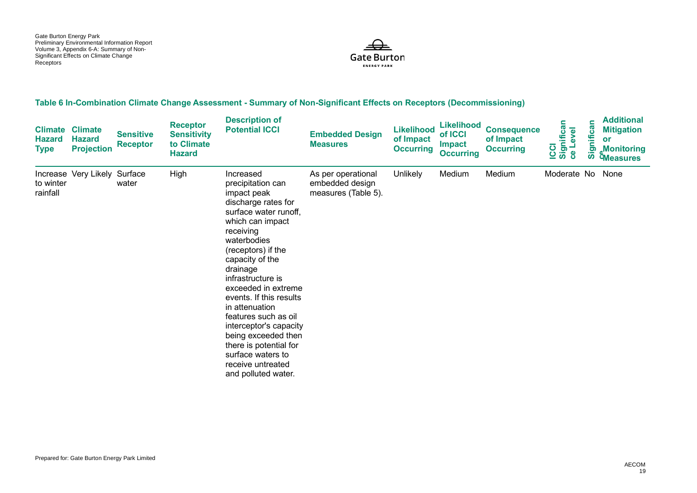

#### **Table 6 In-Combination Climate Change Assessment - Summary of Non-Significant Effects on Receptors (Decommissioning)**

| <b>Climate</b><br><b>Hazard</b><br><b>Type</b> | <b>Climate</b><br><b>Hazard</b><br><b>Projection</b> | <b>Sensitive</b><br><b>Receptor</b> | <b>Receptor</b><br><b>Sensitivity</b><br>to Climate<br><b>Hazard</b> | <b>Description of</b><br><b>Potential ICCI</b>                                                                                                                                                                                                                                                                                                                                                                                                                  | <b>Embedded Design</b><br><b>Measures</b>                    | <b>Likelihood</b><br>of Impact<br><b>Occurring</b> | <b>Likelihood</b><br>of ICCI<br><b>Impact</b><br><b>Occurring</b> | <b>Consequence</b><br>of Impact<br><b>Occurring</b> | ICCI<br>Significan<br>ce Level | Significan | <b>Additional</b><br><b>Mitigation</b><br>or<br><b>Monitoring</b><br><b><i><u>CMeasures</u></i></b> |
|------------------------------------------------|------------------------------------------------------|-------------------------------------|----------------------------------------------------------------------|-----------------------------------------------------------------------------------------------------------------------------------------------------------------------------------------------------------------------------------------------------------------------------------------------------------------------------------------------------------------------------------------------------------------------------------------------------------------|--------------------------------------------------------------|----------------------------------------------------|-------------------------------------------------------------------|-----------------------------------------------------|--------------------------------|------------|-----------------------------------------------------------------------------------------------------|
| Increase<br>to winter<br>rainfall              | Very Likely Surface                                  | water                               | High                                                                 | Increased<br>precipitation can<br>impact peak<br>discharge rates for<br>surface water runoff,<br>which can impact<br>receiving<br>waterbodies<br>(receptors) if the<br>capacity of the<br>drainage<br>infrastructure is<br>exceeded in extreme<br>events. If this results<br>in attenuation<br>features such as oil<br>interceptor's capacity<br>being exceeded then<br>there is potential for<br>surface waters to<br>receive untreated<br>and polluted water. | As per operational<br>embedded design<br>measures (Table 5). | Unlikely                                           | Medium                                                            | Medium                                              | Moderate No                    |            | None                                                                                                |